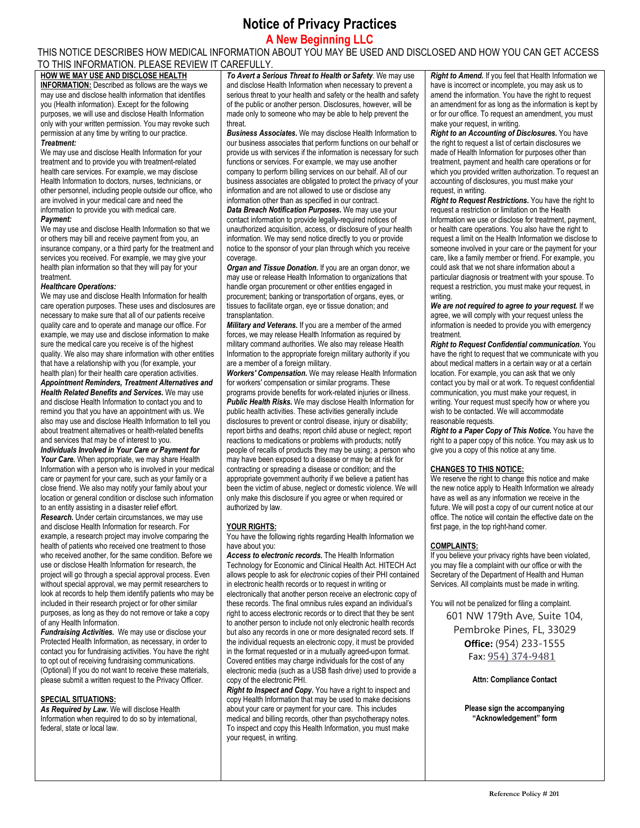## **Notice of Privacy Practices**

### **A New Beginning LLC**

THIS NOTICE DESCRIBES HOW MEDICAL INFORMATION ABOUT YOU MAY BE USED AND DISCLOSED AND HOW YOU CAN GET ACCESS TO THIS INFORMATION. PLEASE REVIEW IT CAREFULLY.

**HOW WE MAY USE AND DISCLOSE HEALTH INFORMATION:** Described as follows are the ways we may use and disclose health information that identifies you (Health information). Except for the following purposes, we will use and disclose Health Information only with your written permission. You may revoke such permission at any time by writing to our practice. *Treatment:*

We may use and disclose Health Information for your treatment and to provide you with treatment-related health care services. For example, we may disclose Health Information to doctors, nurses, technicians, or other personnel, including people outside our office, who are involved in your medical care and need the information to provide you with medical care.

#### *Payment:*

We may use and disclose Health Information so that we or others may bill and receive payment from you, an insurance company, or a third party for the treatment and services you received. For example, we may give your health plan information so that they will pay for your treatment.

#### *Healthcare Operations:*

We may use and disclose Health Information for health care operation purposes. These uses and disclosures are necessary to make sure that all of our patients receive quality care and to operate and manage our office. For example, we may use and disclose information to make sure the medical care you receive is of the highest quality. We also may share information with other entities that have a relationship with you (for example, your health plan) for their health care operation activities.

*Appointment Reminders, Treatment Alternatives and Health Related Benefits and Services.* We may use and disclose Health Information to contact you and to remind you that you have an appointment with us. We also may use and disclose Health Information to tell you about treatment alternatives or health-related benefits and services that may be of interest to you.

*Individuals Involved in Your Care or Payment for*  Your Care. When appropriate, we may share Health Information with a person who is involved in your medical care or payment for your care, such as your family or a close friend. We also may notify your family about your location or general condition or disclose such information to an entity assisting in a disaster relief effort. *Research.* Under certain circumstances, we may use and disclose Health Information for research. For example, a research project may involve comparing the health of patients who received one treatment to those who received another, for the same condition. Before we use or disclose Health Information for research, the project will go through a special approval process. Even without special approval, we may permit researchers to look at records to help them identify patients who may be included in their research project or for other similar purposes, as long as they do not remove or take a copy of any Health Information.

*Fundraising Activities.*We may use or disclose your Protected Health Information, as necessary, in order to contact you for fundraising activities. You have the right to opt out of receiving fundraising communications. (Optional) If you do not want to receive these materials, please submit a written request to the Privacy Officer.

#### **SPECIAL SITUATIONS:**

*As Required by Law***.** We will disclose Health Information when required to do so by international, federal, state or local law.

*To Avert a Serious Threat to Health or Safety*. We may use and disclose Health Information when necessary to prevent a serious threat to your health and safety or the health and safety of the public or another person. Disclosures, however, will be made only to someone who may be able to help prevent the threat.

*Business Associates***.** We may disclose Health Information to our business associates that perform functions on our behalf or provide us with services if the information is necessary for such functions or services. For example, we may use another company to perform billing services on our behalf. All of our business associates are obligated to protect the privacy of your information and are not allowed to use or disclose any information other than as specified in our contract.

*Data Breach Notification Purposes***.** We may use your contact information to provide legally-required notices of unauthorized acquisition, access, or disclosure of your health information. We may send notice directly to you or provide notice to the sponsor of your plan through which you receive coverage.

*Organ and Tissue Donation.* If you are an organ donor, we may use or release Health Information to organizations that handle organ procurement or other entities engaged in procurement; banking or transportation of organs, eyes, or tissues to facilitate organ, eye or tissue donation; and transplantation.

*Military and Veterans.* If you are a member of the armed forces, we may release Health Information as required by military command authorities. We also may release Health Information to the appropriate foreign military authority if you are a member of a foreign military.

*Workers' Compensation.* We may release Health Information for workers' compensation or similar programs. These programs provide benefits for work-related injuries or illness. *Public Health Risks.* We may disclose Health Information for public health activities. These activities generally include disclosures to prevent or control disease, injury or disability; report births and deaths; report child abuse or neglect; report reactions to medications or problems with products; notify people of recalls of products they may be using; a person who may have been exposed to a disease or may be at risk for contracting or spreading a disease or condition; and the appropriate government authority if we believe a patient has been the victim of abuse, neglect or domestic violence. We will only make this disclosure if you agree or when required or authorized by law.

#### **YOUR RIGHTS:**

You have the following rights regarding Health Information we have about you:

*Access to electronic records.* The Health Information Technology for Economic and Clinical Health Act. HITECH Act allows people to ask for *electronic* copies of their PHI contained in electronic health records or to request in writing or electronically that another person receive an electronic copy of these records. The final omnibus rules expand an individual's right to access electronic records or to direct that they be sent to another person to include not only electronic health records but also any records in one or more designated record sets. If the individual requests an electronic copy, it must be provided in the format requested or in a mutually agreed-upon format. Covered entities may charge individuals for the cost of any electronic media (such as a USB flash drive) used to provide a copy of the electronic PHI.

*Right to Inspect and Copy.* You have a right to inspect and copy Health Information that may be used to make decisions about your care or payment for your care. This includes medical and billing records, other than psychotherapy notes. To inspect and copy this Health Information, you must make your request, in writing.

*Right to Amend.* If you feel that Health Information we have is incorrect or incomplete, you may ask us to amend the information. You have the right to request an amendment for as long as the information is kept by or for our office. To request an amendment, you must make your request, in writing.

*Right to an Accounting of Disclosures.* You have the right to request a list of certain disclosures we made of Health Information for purposes other than treatment, payment and health care operations or for which you provided written authorization. To request an accounting of disclosures, you must make your request, in writing.

*Right to Request Restrictions.* You have the right to request a restriction or limitation on the Health Information we use or disclose for treatment, payment, or health care operations. You also have the right to request a limit on the Health Information we disclose to someone involved in your care or the payment for your care, like a family member or friend. For example, you could ask that we not share information about a particular diagnosis or treatment with your spouse. To request a restriction, you must make your request, in writing.

*We are not required to agree to your request.* If we agree, we will comply with your request unless the information is needed to provide you with emergency treatment.

*Right to Request Confidential communication.* You have the right to request that we communicate with you about medical matters in a certain way or at a certain location. For example, you can ask that we only contact you by mail or at work. To request confidential communication, you must make your request, in writing. Your request must specify how or where you wish to be contacted. We will accommodate reasonable requests.

*Right to a Paper Copy of This Notice.* You have the right to a paper copy of this notice. You may ask us to give you a copy of this notice at any time.

#### **CHANGES TO THIS NOTICE:**

We reserve the right to change this notice and make the new notice apply to Health Information we already have as well as any information we receive in the future. We will post a copy of our current notice at our office. The notice will contain the effective date on the first page, in the top right-hand corner.

#### **COMPLAINTS:**

If you believe your privacy rights have been violated, you may file a complaint with our office or with the Secretary of the Department of Health and Human Services. All complaints must be made in writing.

You will not be penalized for filing a complaint. 601 NW 179th Ave, Suite 104, Pembroke Pines, FL, 33029 **Office:** (954) 233-1555

Fax: [954\) 374-9481](fax:+19543749481)

**Attn: Compliance Contact**

**Please sign the accompanying "Acknowledgement" form**